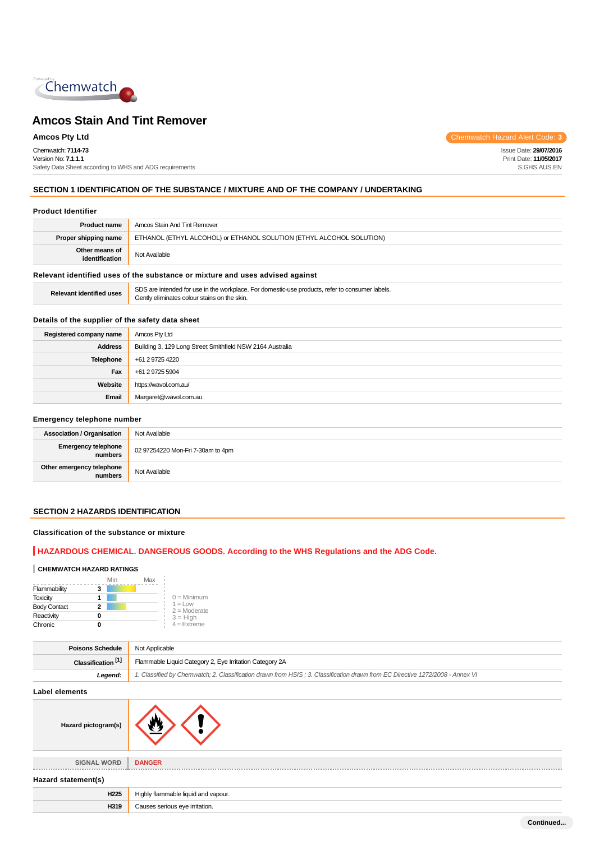

Chemwatch: **7114-73** Version No: **7.1.1.1** Safety Data Sheet according to WHS and ADG requirements

**Amcos Pty Ltd** Chemwatch Hazard Alert Code: **3** 

Issue Date: **29/07/2016** Print Date: **11/05/2017** S.GHS.AUS.EN

# **SECTION 1 IDENTIFICATION OF THE SUBSTANCE / MIXTURE AND OF THE COMPANY / UNDERTAKING**

#### **Product Identifier**

| <b>Product name</b>                                                           | Amcos Stain And Tint Remover                                         |
|-------------------------------------------------------------------------------|----------------------------------------------------------------------|
| Proper shipping name                                                          | ETHANOL (ETHYL ALCOHOL) or ETHANOL SOLUTION (ETHYL ALCOHOL SOLUTION) |
| Other means of<br>identification                                              | Not Available                                                        |
| Relevant identified uses of the substance or mixture and uses advised against |                                                                      |

| <b>Relevant identified uses</b> | SDS are intended for use in the workplace. For domestic-use products, refer to consumer labels.<br>Gently eliminates colour stains on the skin. |
|---------------------------------|-------------------------------------------------------------------------------------------------------------------------------------------------|
|---------------------------------|-------------------------------------------------------------------------------------------------------------------------------------------------|

# **Details of the supplier of the safety data sheet**

| Registered company name | Amcos Pty Ltd                                             |
|-------------------------|-----------------------------------------------------------|
| <b>Address</b>          | Building 3, 129 Long Street Smithfield NSW 2164 Australia |
| Telephone               | +61 2 9725 4220                                           |
| Fax                     | +61 2 9725 5904                                           |
| Website                 | https://wavol.com.au/                                     |
| Email                   | Margaret@wavol.com.au                                     |

#### **Emergency telephone number**

| <b>Association / Organisation</b>    | Not Available                     |
|--------------------------------------|-----------------------------------|
| Emergency telephone<br>numbers       | 02 97254220 Mon-Fri 7-30am to 4pm |
| Other emergency telephone<br>numbers | Not Available                     |

# **SECTION 2 HAZARDS IDENTIFICATION**

#### **Classification of the substance or mixture**

# **HAZARDOUS CHEMICAL. DANGEROUS GOODS. According to the WHS Regulations and the ADG Code.**

#### **CHEMWATCH HAZARD RATINGS**

|                     | Min | Max |                             |
|---------------------|-----|-----|-----------------------------|
| Flammability        | 3   |     |                             |
| <b>Toxicity</b>     |     |     | $0 =$ Minimum               |
| <b>Body Contact</b> | 2   |     | $1 =$ Low<br>$2 =$ Moderate |
| Reactivity          | o   |     | $3 = High$                  |
| Chronic             |     |     | $4 =$ Extreme               |

| <b>Poisons Schedule</b> Not Applicable |                                                                                                                               |
|----------------------------------------|-------------------------------------------------------------------------------------------------------------------------------|
| Classification <sup>[1]</sup>          | Flammable Liquid Category 2, Eye Irritation Category 2A                                                                       |
| Leaend:                                | 1. Classified by Chemwatch; 2. Classification drawn from HSIS; 3. Classification drawn from EC Directive 1272/2008 - Annex VI |
|                                        |                                                                                                                               |

**Label elements**

| Hazard pictogram(s) |                                     |
|---------------------|-------------------------------------|
|                     |                                     |
| <b>SIGNAL WORD</b>  | <b>DANGER</b>                       |
| Hazard statement(s) |                                     |
| H <sub>225</sub>    | Highly flammable liquid and vapour. |
| H319                | Causes serious eye irritation.      |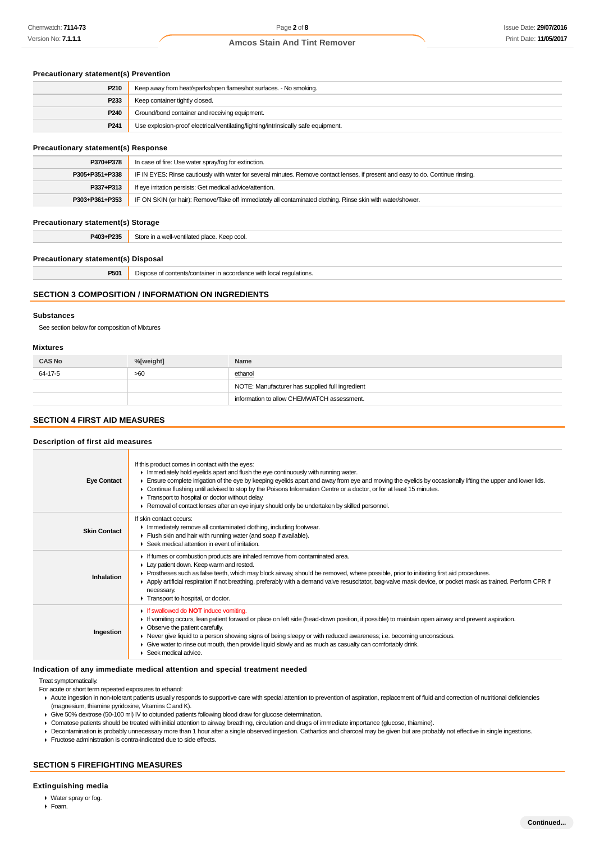# **Precautionary statement(s) Prevention**

| P210             | Keep away from heat/sparks/open flames/hot surfaces. - No smoking.                |
|------------------|-----------------------------------------------------------------------------------|
| P <sub>233</sub> | Keep container tightly closed.                                                    |
| P <sub>240</sub> | Ground/bond container and receiving equipment.                                    |
| P <sub>241</sub> | Use explosion-proof electrical/ventilating/lighting/intrinsically safe equipment. |

#### **Precautionary statement(s) Response**

| P370+P378      | In case of fire: Use water spray/fog for extinction.                                                                             |
|----------------|----------------------------------------------------------------------------------------------------------------------------------|
| P305+P351+P338 | IF IN EYES: Rinse cautiously with water for several minutes. Remove contact lenses, if present and easy to do. Continue rinsing. |
| P337+P313      | If eye irritation persists: Get medical advice/attention.                                                                        |
| P303+P361+P353 | IF ON SKIN (or hair): Remove/Take off immediately all contaminated clothing. Rinse skin with water/shower.                       |

#### **Precautionary statement(s) Storage**

**P403+P235** Store in a well-ventilated place. Keep cool.

#### **Precautionary statement(s) Disposal**

**P501** Dispose of contents/container in accordance with local regulations.

#### **SECTION 3 COMPOSITION / INFORMATION ON INGREDIENTS**

#### **Substances**

See section below for composition of Mixtures

#### **Mixtures**

| <b>CAS No</b> | %[weight] | Name                                            |
|---------------|-----------|-------------------------------------------------|
| 64-17-5       | >60       | ethanol                                         |
|               |           | NOTE: Manufacturer has supplied full ingredient |
|               |           | information to allow CHEMWATCH assessment.      |

#### **SECTION 4 FIRST AID MEASURES**

#### **Description of first aid measures**

| <b>Eye Contact</b>  | If this product comes in contact with the eyes:<br>Inmediately hold eyelids apart and flush the eye continuously with running water.<br>Ensure complete irrigation of the eye by keeping eyelids apart and away from eye and moving the eyelids by occasionally lifting the upper and lower lids.<br>► Continue flushing until advised to stop by the Poisons Information Centre or a doctor, or for at least 15 minutes.<br>Transport to hospital or doctor without delay.<br>► Removal of contact lenses after an eye injury should only be undertaken by skilled personnel. |
|---------------------|--------------------------------------------------------------------------------------------------------------------------------------------------------------------------------------------------------------------------------------------------------------------------------------------------------------------------------------------------------------------------------------------------------------------------------------------------------------------------------------------------------------------------------------------------------------------------------|
| <b>Skin Contact</b> | If skin contact occurs:<br>Inmediately remove all contaminated clothing, including footwear.<br>Flush skin and hair with running water (and soap if available).<br>▶ Seek medical attention in event of irritation.                                                                                                                                                                                                                                                                                                                                                            |
| Inhalation          | If fumes or combustion products are inhaled remove from contaminated area.<br>Lay patient down. Keep warm and rested.<br>► Prostheses such as false teeth, which may block airway, should be removed, where possible, prior to initiating first aid procedures.<br>▶ Apply artificial respiration if not breathing, preferably with a demand valve resuscitator, bag-valve mask device, or pocket mask as trained. Perform CPR if<br>necessary.<br>Transport to hospital, or doctor.                                                                                           |
| Ingestion           | If swallowed do <b>NOT</b> induce vomiting.<br>If vomiting occurs, lean patient forward or place on left side (head-down position, if possible) to maintain open airway and prevent aspiration.<br>• Observe the patient carefully.<br>▶ Never give liquid to a person showing signs of being sleepy or with reduced awareness; i.e. becoming unconscious.<br>• Give water to rinse out mouth, then provide liquid slowly and as much as casualty can comfortably drink.<br>$\blacktriangleright$ Seek medical advice.                                                         |

#### **Indication of any immediate medical attention and special treatment needed**

Treat symptomatically.

For acute or short term repeated exposures to ethanol:

- Acute ingestion in non-tolerant patients usually responds to supportive care with special attention to prevention of aspiration, replacement of fluid and correction of nutritional deficiencies (magnesium, thiamine pyridoxine, Vitamins C and K).
- Give 50% dextrose (50-100 ml) IV to obtunded patients following blood draw for glucose determination.
- Comatose patients should be treated with initial attention to airway, breathing, circulation and drugs of immediate importance (glucose, thiamine).
- Decontamination is probably unnecessary more than 1 hour after a single observed ingestion. Cathartics and charcoal may be given but are probably not effective in single ingestions.
- Fructose administration is contra-indicated due to side effects.

## **SECTION 5 FIREFIGHTING MEASURES**

#### **Extinguishing media**

- Water spray or fog.
- Foam.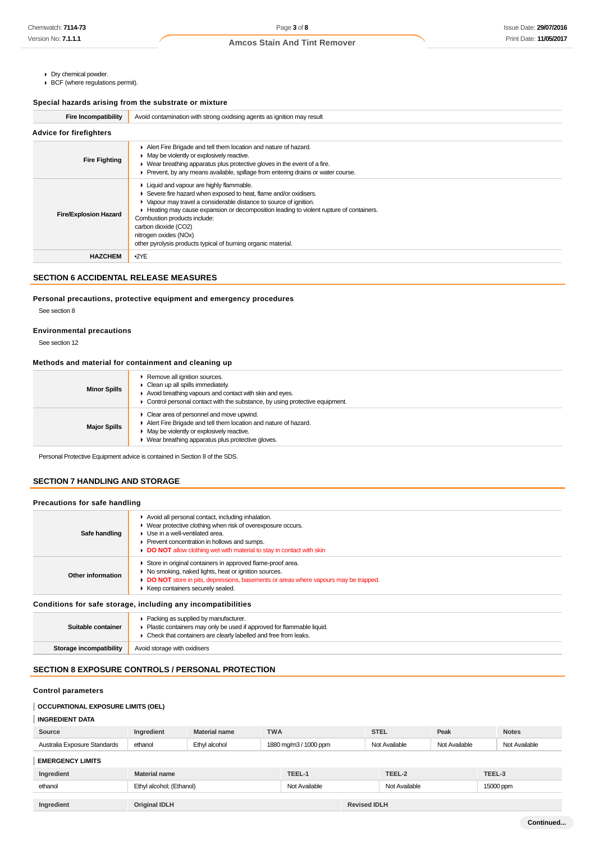- Dry chemical powder.
- BCF (where regulations permit).

#### **Special hazards arising from the substrate or mixture**

| Fire Incompatibility           | Avoid contamination with strong oxidising agents as ignition may result                                                                                                                                                                                                                                                                                                                                                         |  |  |
|--------------------------------|---------------------------------------------------------------------------------------------------------------------------------------------------------------------------------------------------------------------------------------------------------------------------------------------------------------------------------------------------------------------------------------------------------------------------------|--|--|
| <b>Advice for firefighters</b> |                                                                                                                                                                                                                                                                                                                                                                                                                                 |  |  |
| <b>Fire Fighting</b>           | Alert Fire Brigade and tell them location and nature of hazard.<br>• May be violently or explosively reactive.<br>$\triangleright$ Wear breathing apparatus plus protective gloves in the event of a fire.<br>▶ Prevent, by any means available, spillage from entering drains or water course.                                                                                                                                 |  |  |
| <b>Fire/Explosion Hazard</b>   | Liquid and vapour are highly flammable.<br>Severe fire hazard when exposed to heat, flame and/or oxidisers.<br>• Vapour may travel a considerable distance to source of ignition.<br>► Heating may cause expansion or decomposition leading to violent rupture of containers.<br>Combustion products include:<br>carbon dioxide (CO2)<br>nitrogen oxides (NOx)<br>other pyrolysis products typical of burning organic material. |  |  |
| <b>HAZCHEM</b>                 | $-2YE$                                                                                                                                                                                                                                                                                                                                                                                                                          |  |  |

# **SECTION 6 ACCIDENTAL RELEASE MEASURES**

# **Personal precautions, protective equipment and emergency procedures**

See section 8

#### **Environmental precautions**

See section 12

#### **Methods and material for containment and cleaning up**

| <b>Minor Spills</b> | Remove all ignition sources.<br>Clean up all spills immediately.<br>Avoid breathing vapours and contact with skin and eyes.<br>Control personal contact with the substance, by using protective equipment.   |
|---------------------|--------------------------------------------------------------------------------------------------------------------------------------------------------------------------------------------------------------|
| <b>Major Spills</b> | Clear area of personnel and move upwind.<br>Alert Fire Brigade and tell them location and nature of hazard.<br>May be violently or explosively reactive.<br>Wear breathing apparatus plus protective gloves. |

Personal Protective Equipment advice is contained in Section 8 of the SDS.

## **SECTION 7 HANDLING AND STORAGE**

#### **Precautions for safe handling**

| Safe handling           | Avoid all personal contact, including inhalation.<br>• Wear protective clothing when risk of overexposure occurs.<br>$\blacktriangleright$ Use in a well-ventilated area.<br>▶ Prevent concentration in hollows and sumps.<br>DO NOT allow clothing wet with material to stay in contact with skin |
|-------------------------|----------------------------------------------------------------------------------------------------------------------------------------------------------------------------------------------------------------------------------------------------------------------------------------------------|
| Other information       | Store in original containers in approved flame-proof area.<br>• No smoking, naked lights, heat or ignition sources.<br>DO NOT store in pits, depressions, basements or areas where vapours may be trapped.<br>▶ Keep containers securely sealed.                                                   |
|                         | Conditions for safe storage, including any incompatibilities                                                                                                                                                                                                                                       |
| Suitable container      | • Packing as supplied by manufacturer.<br>• Plastic containers may only be used if approved for flammable liquid.<br>• Check that containers are clearly labelled and free from leaks.                                                                                                             |
| Storage incompatibility | Avoid storage with oxidisers                                                                                                                                                                                                                                                                       |

## **SECTION 8 EXPOSURE CONTROLS / PERSONAL PROTECTION**

# **Control parameters**

# **OCCUPATIONAL EXPOSURE LIMITS (OEL)**

# **INGREDIENT DATA**

| Source                           | edient       | <sup>t</sup> name     | <b>TWA</b>                                    | <b>STEL</b>       | Peak                   | <b>Notes</b>          |
|----------------------------------|--------------|-----------------------|-----------------------------------------------|-------------------|------------------------|-----------------------|
| Standards<br>Australia<br>Exposi | ethanol<br>. | Ethvl<br>alcohol<br>. | 1880 mg/m.<br>/1000 ppm<br><b>IUUU</b><br>$-$ | Available<br>Nl∩t | Available<br>∩l∩*<br>. | <b>Available</b><br>. |
|                                  |              |                       |                                               |                   |                        |                       |

# **EMERGENCY LIMITS**

| Ingredient | Material name            | TEEL-1        |                     | TEEL-2        | TEEL-3    |
|------------|--------------------------|---------------|---------------------|---------------|-----------|
| ethanol    | Ethyl alcohol; (Ethanol) | Not Available |                     | Not Available | 15000 ppm |
|            |                          |               |                     |               |           |
| Ingredient | <b>Original IDLH</b>     |               | <b>Revised IDLH</b> |               |           |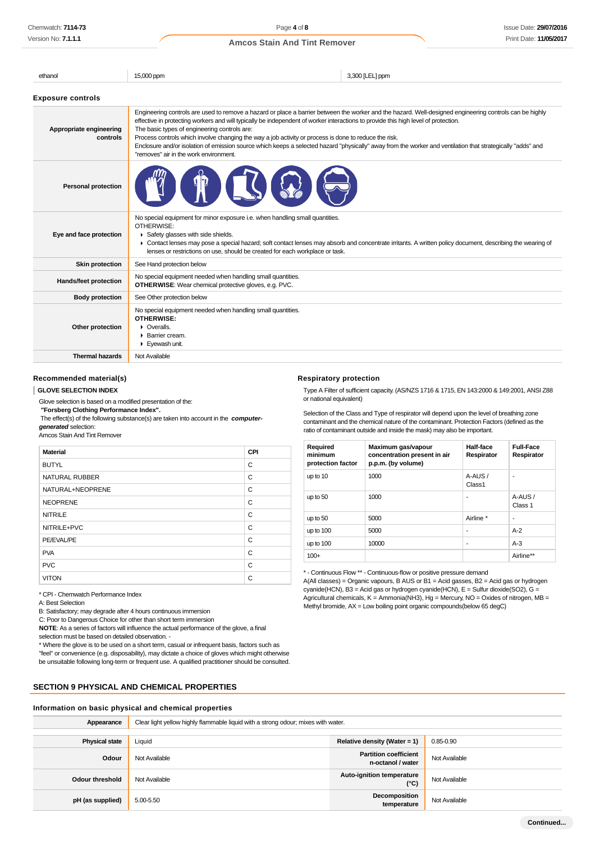| ethanol                             | 15,000 ppm                                                                                                                                                                                                                                                                                                                                                                                                                                                                                                                                                                                                                                                      | 3,300 [LEL] ppm                                                                                                                                            |  |
|-------------------------------------|-----------------------------------------------------------------------------------------------------------------------------------------------------------------------------------------------------------------------------------------------------------------------------------------------------------------------------------------------------------------------------------------------------------------------------------------------------------------------------------------------------------------------------------------------------------------------------------------------------------------------------------------------------------------|------------------------------------------------------------------------------------------------------------------------------------------------------------|--|
| <b>Exposure controls</b>            |                                                                                                                                                                                                                                                                                                                                                                                                                                                                                                                                                                                                                                                                 |                                                                                                                                                            |  |
| Appropriate engineering<br>controls | Engineering controls are used to remove a hazard or place a barrier between the worker and the hazard. Well-designed engineering controls can be highly<br>effective in protecting workers and will typically be independent of worker interactions to provide this high level of protection.<br>The basic types of engineering controls are:<br>Process controls which involve changing the way a job activity or process is done to reduce the risk.<br>Enclosure and/or isolation of emission source which keeps a selected hazard "physically" away from the worker and ventilation that strategically "adds" and<br>"removes" air in the work environment. |                                                                                                                                                            |  |
| <b>Personal protection</b>          |                                                                                                                                                                                                                                                                                                                                                                                                                                                                                                                                                                                                                                                                 |                                                                                                                                                            |  |
| Eye and face protection             | No special equipment for minor exposure i.e. when handling small quantities.<br>OTHERWISE:<br>Safety glasses with side shields.<br>lenses or restrictions on use, should be created for each workplace or task.                                                                                                                                                                                                                                                                                                                                                                                                                                                 | • Contact lenses may pose a special hazard; soft contact lenses may absorb and concentrate irritants. A written policy document, describing the wearing of |  |
| <b>Skin protection</b>              | See Hand protection below                                                                                                                                                                                                                                                                                                                                                                                                                                                                                                                                                                                                                                       |                                                                                                                                                            |  |
| Hands/feet protection               | No special equipment needed when handling small quantities.<br><b>OTHERWISE:</b> Wear chemical protective gloves, e.g. PVC.                                                                                                                                                                                                                                                                                                                                                                                                                                                                                                                                     |                                                                                                                                                            |  |
| <b>Body protection</b>              | See Other protection below                                                                                                                                                                                                                                                                                                                                                                                                                                                                                                                                                                                                                                      |                                                                                                                                                            |  |
| Other protection                    | No special equipment needed when handling small quantities.<br>OTHERWISE:<br>$\triangleright$ Overalls.<br>$\blacktriangleright$ Barrier cream.<br>Eyewash unit.                                                                                                                                                                                                                                                                                                                                                                                                                                                                                                |                                                                                                                                                            |  |
| <b>Thermal hazards</b>              | Not Available                                                                                                                                                                                                                                                                                                                                                                                                                                                                                                                                                                                                                                                   |                                                                                                                                                            |  |

**Respiratory protection**

or national equivalent)

#### **Recommended material(s)**

#### **GLOVE SELECTION INDEX**

Glove selection is based on a modified presentation of the:

 **"Forsberg Clothing Performance Index".**

 The effect(s) of the following substance(s) are taken into account in the **computergenerated** selection:

#### Amcos Stain And Tint Remover

| <b>Material</b>       | CPI |
|-----------------------|-----|
| <b>BUTYL</b>          | C   |
| <b>NATURAL RUBBER</b> | C   |
| NATURAL+NEOPRENE      | C   |
| <b>NEOPRENE</b>       | C   |
| <b>NITRILE</b>        | C   |
| NITRILE+PVC           | C   |
| PE/EVAL/PE            | C   |
| <b>PVA</b>            | C   |
| <b>PVC</b>            | C   |
| <b>VITON</b>          | C   |

\* CPI - Chemwatch Performance Index

A: Best Selection

B: Satisfactory; may degrade after 4 hours continuous immersion

C: Poor to Dangerous Choice for other than short term immersion

**NOTE**: As a series of factors will influence the actual performance of the glove, a final selection must be based on detailed observation. -

\* Where the glove is to be used on a short term, casual or infrequent basis, factors such as "feel" or convenience (e.g. disposability), may dictate a choice of gloves which might otherwise be unsuitable following long-term or frequent use. A qualified practitioner should be consulted.

## **SECTION 9 PHYSICAL AND CHEMICAL PROPERTIES**

#### **Information on basic physical and chemical properties**

Selection of the Class and Type of respirator will depend upon the level of breathing zone contaminant and the chemical nature of the contaminant. Protection Factors (defined as the ratio of contaminant outside and inside the mask) may also be important. **Required minimum Maximum gas/vapour concentration present in air Half-face Respirator Full-Face Respirator**

Type A Filter of sufficient capacity. (AS/NZS 1716 & 1715, EN 143:2000 & 149:2001, ANSI Z88

| mınımum<br>protection factor | concentration present in air<br>p.p.m. (by volume) | Respirator       | Respirator         |
|------------------------------|----------------------------------------------------|------------------|--------------------|
| up to 10                     | 1000                                               | A-AUS/<br>Class1 | ۰                  |
| up to 50                     | 1000                                               | ۰                | A-AUS /<br>Class 1 |
| up to 50                     | 5000                                               | Airline *        | ۰                  |
| up to $100$                  | 5000                                               | ۰                | $A-2$              |
| up to $100$                  | 10000                                              | ٠                | $A-3$              |
| $100+$                       |                                                    |                  | Airline**          |

\* - Continuous Flow \*\* - Continuous-flow or positive pressure demand

A(All classes) = Organic vapours, B AUS or B1 = Acid gasses, B2 = Acid gas or hydrogen cyanide(HCN), B3 = Acid gas or hydrogen cyanide(HCN), E = Sulfur dioxide(SO2), G = Agricultural chemicals, K = Ammonia(NH3), Hg = Mercury, NO = Oxides of nitrogen, MB = Methyl bromide,  $AX = Low$  boiling point organic compounds (below 65 degC)

| Appearance            | Clear light yellow highly flammable liquid with a strong odour; mixes with water. |                                                   |               |
|-----------------------|-----------------------------------------------------------------------------------|---------------------------------------------------|---------------|
|                       |                                                                                   |                                                   |               |
| <b>Physical state</b> | Liquid                                                                            | Relative density (Water = $1$ )                   | $0.85 - 0.90$ |
| Odour                 | Not Available                                                                     | <b>Partition coefficient</b><br>n-octanol / water | Not Available |
| Odour threshold       | Not Available                                                                     | Auto-ignition temperature<br>(°C)                 | Not Available |
| pH (as supplied)      | 5.00-5.50                                                                         | Decomposition<br>temperature                      | Not Available |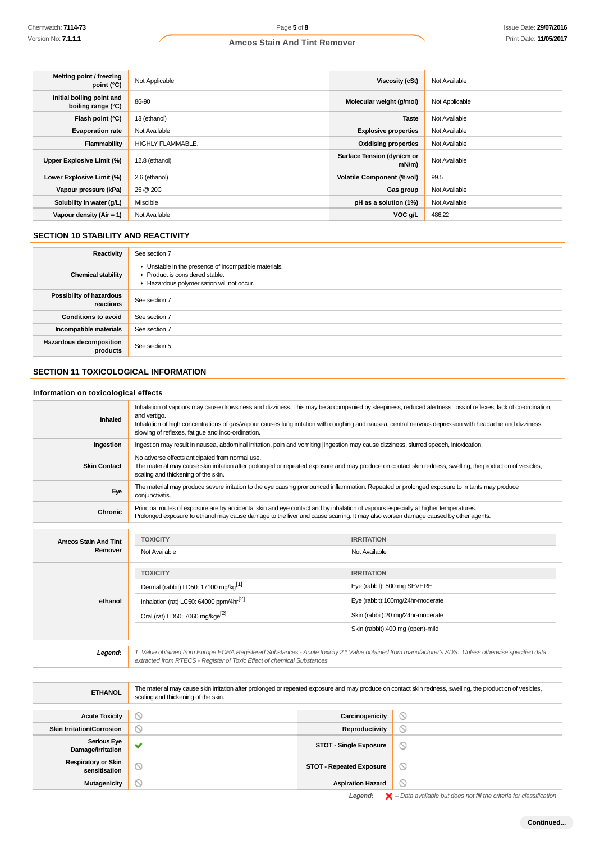| Melting point / freezing<br>point $(^{\circ}C)$ | Not Applicable           | <b>Viscosity (cSt)</b>                 | Not Available  |
|-------------------------------------------------|--------------------------|----------------------------------------|----------------|
| Initial boiling point and<br>boiling range (°C) | 86-90                    | Molecular weight (g/mol)               | Not Applicable |
| Flash point (°C)                                | 13 (ethanol)             | <b>Taste</b>                           | Not Available  |
| <b>Evaporation rate</b>                         | Not Available            | <b>Explosive properties</b>            | Not Available  |
| Flammability                                    | <b>HIGHLY FLAMMABLE.</b> | <b>Oxidising properties</b>            | Not Available  |
| Upper Explosive Limit (%)                       | 12.8 (ethanol)           | Surface Tension (dyn/cm or<br>$mN/m$ ) | Not Available  |
| Lower Explosive Limit (%)                       | 2.6 (ethanol)            | <b>Volatile Component (%vol)</b>       | 99.5           |
| Vapour pressure (kPa)                           | 25 @ 20C                 | Gas group                              | Not Available  |
| Solubility in water (g/L)                       | Miscible                 | pH as a solution (1%)                  | Not Available  |
| Vapour density $(Air = 1)$                      | Not Available            | VOC g/L                                | 486.22         |

# **SECTION 10 STABILITY AND REACTIVITY**

÷.

| Reactivity                                 | See section 7                                                                                                                        |
|--------------------------------------------|--------------------------------------------------------------------------------------------------------------------------------------|
| <b>Chemical stability</b>                  | • Unstable in the presence of incompatible materials.<br>▶ Product is considered stable.<br>Hazardous polymerisation will not occur. |
| Possibility of hazardous<br>reactions      | See section 7                                                                                                                        |
| <b>Conditions to avoid</b>                 | See section 7                                                                                                                        |
| Incompatible materials                     | See section 7                                                                                                                        |
| <b>Hazardous decomposition</b><br>products | See section 5                                                                                                                        |

# **SECTION 11 TOXICOLOGICAL INFORMATION**

# **Information on toxicological effects**

| <b>Inhaled</b>              | Inhalation of vapours may cause drowsiness and dizziness. This may be accompanied by sleepiness, reduced alertness, loss of reflexes, lack of co-ordination,<br>and vertigo.<br>Inhalation of high concentrations of gas/vapour causes lung irritation with coughing and nausea, central nervous depression with headache and dizziness,<br>slowing of reflexes, fatigue and inco-ordination. |                                                                                                                                                            |  |  |  |
|-----------------------------|-----------------------------------------------------------------------------------------------------------------------------------------------------------------------------------------------------------------------------------------------------------------------------------------------------------------------------------------------------------------------------------------------|------------------------------------------------------------------------------------------------------------------------------------------------------------|--|--|--|
| Ingestion                   | Ingestion may result in nausea, abdominal irritation, pain and vomiting  Ingestion may cause dizziness, slurred speech, intoxication.                                                                                                                                                                                                                                                         |                                                                                                                                                            |  |  |  |
| <b>Skin Contact</b>         | No adverse effects anticipated from normal use.<br>scaling and thickening of the skin.                                                                                                                                                                                                                                                                                                        | The material may cause skin irritation after prolonged or repeated exposure and may produce on contact skin redness, swelling, the production of vesicles, |  |  |  |
| Eye                         | The material may produce severe irritation to the eye causing pronounced inflammation. Repeated or prolonged exposure to irritants may produce<br>conjunctivitis.                                                                                                                                                                                                                             |                                                                                                                                                            |  |  |  |
| <b>Chronic</b>              | Principal routes of exposure are by accidental skin and eye contact and by inhalation of vapours especially at higher temperatures.<br>Prolonged exposure to ethanol may cause damage to the liver and cause scarring. It may also worsen damage caused by other agents.                                                                                                                      |                                                                                                                                                            |  |  |  |
|                             |                                                                                                                                                                                                                                                                                                                                                                                               |                                                                                                                                                            |  |  |  |
| <b>Amcos Stain And Tint</b> | <b>TOXICITY</b><br><b>IRRITATION</b>                                                                                                                                                                                                                                                                                                                                                          |                                                                                                                                                            |  |  |  |
| Remover                     | Not Available                                                                                                                                                                                                                                                                                                                                                                                 | Not Available                                                                                                                                              |  |  |  |
|                             | <b>TOXICITY</b>                                                                                                                                                                                                                                                                                                                                                                               | <b>IRRITATION</b>                                                                                                                                          |  |  |  |
|                             | Dermal (rabbit) LD50: 17100 mg/kg <sup>[1]</sup>                                                                                                                                                                                                                                                                                                                                              | Eye (rabbit): 500 mg SEVERE                                                                                                                                |  |  |  |
| ethanol                     | Inhalation (rat) LC50: 64000 ppm/4hr <sup>[2]</sup>                                                                                                                                                                                                                                                                                                                                           | Eye (rabbit):100mg/24hr-moderate                                                                                                                           |  |  |  |
|                             | Oral (rat) LD50: 7060 mg/kge <sup>[2]</sup>                                                                                                                                                                                                                                                                                                                                                   | Skin (rabbit):20 mg/24hr-moderate                                                                                                                          |  |  |  |
|                             |                                                                                                                                                                                                                                                                                                                                                                                               | Skin (rabbit):400 mg (open)-mild                                                                                                                           |  |  |  |
|                             |                                                                                                                                                                                                                                                                                                                                                                                               |                                                                                                                                                            |  |  |  |
| Legend:                     | 1. Value obtained from Europe ECHA Registered Substances - Acute toxicity 2.* Value obtained from manufacturer's SDS. Unless otherwise specified data<br>extracted from RTECS - Register of Toxic Effect of chemical Substances                                                                                                                                                               |                                                                                                                                                            |  |  |  |

| <b>ETHANOL</b>                              | The material may cause skin irritation after prolonged or repeated exposure and may produce on contact skin redness, swelling, the production of vesicles,<br>scaling and thickening of the skin. |                                 |                |
|---------------------------------------------|---------------------------------------------------------------------------------------------------------------------------------------------------------------------------------------------------|---------------------------------|----------------|
|                                             |                                                                                                                                                                                                   |                                 |                |
| <b>Acute Toxicity</b>                       | N                                                                                                                                                                                                 | Carcinogenicity                 | ♡              |
| <b>Skin Irritation/Corrosion</b>            | $\circlearrowright$                                                                                                                                                                               | Reproductivity                  | ∾              |
| <b>Serious Eye</b><br>Damage/Irritation     | v                                                                                                                                                                                                 | <b>STOT - Single Exposure</b>   | $\circledcirc$ |
| <b>Respiratory or Skin</b><br>sensitisation | $\circledcirc$                                                                                                                                                                                    | <b>STOT - Repeated Exposure</b> | $\circ$        |
| <b>Mutagenicity</b>                         | ∾                                                                                                                                                                                                 | <b>Aspiration Hazard</b>        |                |

Legend:  $\blacktriangleright$  - Data available but does not fill the criteria for classification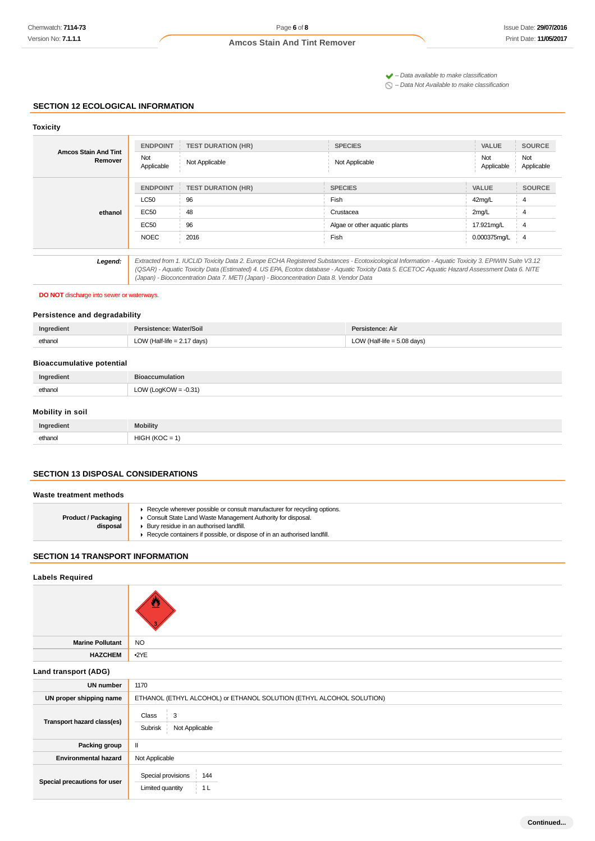$\blacktriangleright$  – Data available to make classification

 $\bigcirc$  – Data Not Available to make classification

#### **SECTION 12 ECOLOGICAL INFORMATION**

| <b>Toxicity</b>                        |                   |                                                                                                                                                                                                                                                                                                                                                                                                 |                               |                   |                   |
|----------------------------------------|-------------------|-------------------------------------------------------------------------------------------------------------------------------------------------------------------------------------------------------------------------------------------------------------------------------------------------------------------------------------------------------------------------------------------------|-------------------------------|-------------------|-------------------|
| <b>Amcos Stain And Tint</b><br>Remover | <b>ENDPOINT</b>   | <b>TEST DURATION (HR)</b>                                                                                                                                                                                                                                                                                                                                                                       | <b>SPECIES</b>                | <b>VALUE</b>      | <b>SOURCE</b>     |
|                                        | Not<br>Applicable | Not Applicable                                                                                                                                                                                                                                                                                                                                                                                  | Not Applicable                | Not<br>Applicable | Not<br>Applicable |
| ethanol                                | <b>ENDPOINT</b>   | <b>TEST DURATION (HR)</b>                                                                                                                                                                                                                                                                                                                                                                       | <b>SPECIES</b>                | <b>VALUE</b>      | <b>SOURCE</b>     |
|                                        | <b>LC50</b>       | 96                                                                                                                                                                                                                                                                                                                                                                                              | Fish                          | 42mg/L            | 4                 |
|                                        | EC50              | 48                                                                                                                                                                                                                                                                                                                                                                                              | Crustacea                     | 2mg/L             |                   |
|                                        | EC50              | 96                                                                                                                                                                                                                                                                                                                                                                                              | Algae or other aquatic plants | 17.921mg/L        | 4                 |
|                                        | <b>NOEC</b>       | 2016                                                                                                                                                                                                                                                                                                                                                                                            | Fish                          | 0.000375mg/L      | $\overline{4}$    |
|                                        |                   |                                                                                                                                                                                                                                                                                                                                                                                                 |                               |                   |                   |
| Legend:                                |                   | Extracted from 1. IUCLID Toxicity Data 2. Europe ECHA Registered Substances - Ecotoxicological Information - Aquatic Toxicity 3. EPIWIN Suite V3.12<br>(QSAR) - Aquatic Toxicity Data (Estimated) 4. US EPA, Ecotox database - Aquatic Toxicity Data 5. ECETOC Aquatic Hazard Assessment Data 6. NITE<br>(Japan) - Bioconcentration Data 7. METI (Japan) - Bioconcentration Data 8. Vendor Data |                               |                   |                   |

#### **DO NOT** discharge into sewer or waterways.

# **Persistence and degradability**

| Ingredient   | Persistence: Water/Soil       | Persistence: Air              |
|--------------|-------------------------------|-------------------------------|
| ethanol<br>. | LOW (Half-life $= 2.17$ days) | LOW (Half-life $= 5.08$ days) |

### **Bioaccumulative potential**

| Ingredient | reumulation<br>iauuii    |
|------------|--------------------------|
| ethanol    | $= -0.31$<br>LOW (LogKOW |

## **Mobility in soil**

| Ingredient | <b>Mobility</b>                                           |
|------------|-----------------------------------------------------------|
| ethanol    | பட்ப<br>t (KOC<br>$\overline{\phantom{0}}$<br>-<br>ישוו ، |

#### **SECTION 13 DISPOSAL CONSIDERATIONS**

#### **Waste treatment methods**

| <b>Product / Packaging</b><br>disposal | ► Recycle wherever possible or consult manufacturer for recycling options.<br>• Consult State Land Waste Management Authority for disposal.<br>▶ Bury residue in an authorised landfill.<br>▶ Recycle containers if possible, or dispose of in an authorised landfill. |
|----------------------------------------|------------------------------------------------------------------------------------------------------------------------------------------------------------------------------------------------------------------------------------------------------------------------|
|                                        |                                                                                                                                                                                                                                                                        |

# **SECTION 14 TRANSPORT INFORMATION**

# **Labels Required**

| <b>Marine Pollutant</b>      | <b>NO</b>                                                            |  |  |
|------------------------------|----------------------------------------------------------------------|--|--|
| <b>HAZCHEM</b>               | •2YE                                                                 |  |  |
| Land transport (ADG)         |                                                                      |  |  |
| <b>UN number</b>             | 1170                                                                 |  |  |
| UN proper shipping name      | ETHANOL (ETHYL ALCOHOL) or ETHANOL SOLUTION (ETHYL ALCOHOL SOLUTION) |  |  |
| Transport hazard class(es)   | Class<br>3<br>Not Applicable<br>Subrisk                              |  |  |
| Packing group                | $\mathbf{II}$                                                        |  |  |
| <b>Environmental hazard</b>  | Not Applicable                                                       |  |  |
| Special precautions for user | Special provisions<br>144<br>1 <sub>L</sub><br>Limited quantity      |  |  |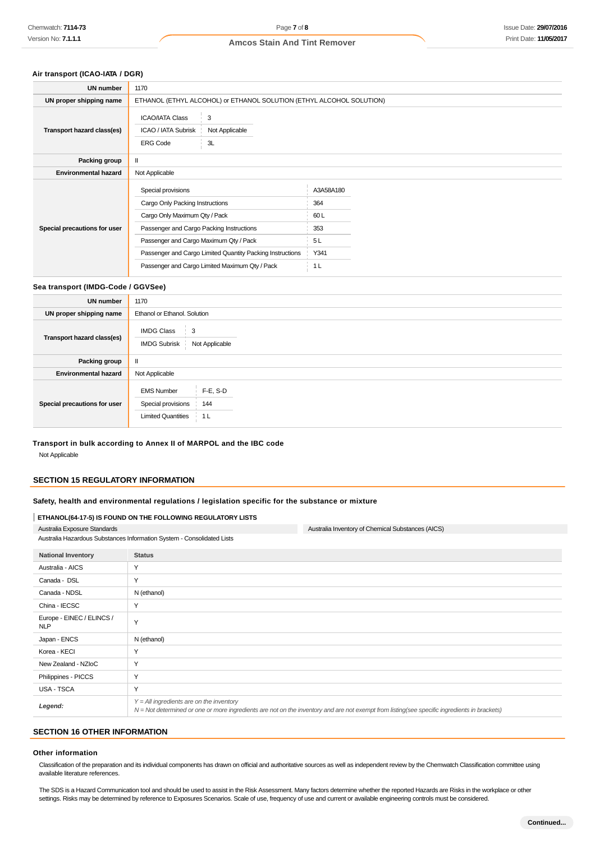# **Air transport (ICAO-IATA / DGR)**

| UN number                    | 1170                                                                                                                                                                                                                                                                                        |                                                                |  |
|------------------------------|---------------------------------------------------------------------------------------------------------------------------------------------------------------------------------------------------------------------------------------------------------------------------------------------|----------------------------------------------------------------|--|
| UN proper shipping name      | ETHANOL (ETHYL ALCOHOL) or ETHANOL SOLUTION (ETHYL ALCOHOL SOLUTION)                                                                                                                                                                                                                        |                                                                |  |
| Transport hazard class(es)   | <b>ICAO/IATA Class</b><br>3<br>Not Applicable<br>ICAO / IATA Subrisk<br><b>ERG Code</b><br>3L                                                                                                                                                                                               |                                                                |  |
| Packing group                |                                                                                                                                                                                                                                                                                             |                                                                |  |
| <b>Environmental hazard</b>  | Not Applicable                                                                                                                                                                                                                                                                              |                                                                |  |
| Special precautions for user | Special provisions<br>Cargo Only Packing Instructions<br>Cargo Only Maximum Qty / Pack<br>Passenger and Cargo Packing Instructions<br>Passenger and Cargo Maximum Qty / Pack<br>Passenger and Cargo Limited Quantity Packing Instructions<br>Passenger and Cargo Limited Maximum Qty / Pack | A3A58A180<br>364<br>60L<br>353<br>5L<br>Y341<br>1 <sub>L</sub> |  |

#### **Sea transport (IMDG-Code / GGVSee)**

| UN number                    | 1170                                                                                              |  |  |
|------------------------------|---------------------------------------------------------------------------------------------------|--|--|
| UN proper shipping name      | Ethanol or Ethanol. Solution                                                                      |  |  |
| Transport hazard class(es)   | <b>IMDG Class</b><br>3<br>Not Applicable<br><b>IMDG Subrisk</b>                                   |  |  |
| Packing group                | Ш                                                                                                 |  |  |
| <b>Environmental hazard</b>  | Not Applicable                                                                                    |  |  |
| Special precautions for user | $F-E$ , S-D<br><b>EMS Number</b><br>Special provisions<br>144<br><b>Limited Quantities</b><br>1 L |  |  |

#### **Transport in bulk according to Annex II of MARPOL and the IBC code**

Not Applicable

## **SECTION 15 REGULATORY INFORMATION**

#### **Safety, health and environmental regulations / legislation specific for the substance or mixture**

#### **ETHANOL(64-17-5) IS FOUND ON THE FOLLOWING REGULATORY LISTS**

| Australia Exposure Standards                                           | Australia Inventory of Chemical Substances (AICS)                                                                                                                                          |  |
|------------------------------------------------------------------------|--------------------------------------------------------------------------------------------------------------------------------------------------------------------------------------------|--|
| Australia Hazardous Substances Information System - Consolidated Lists |                                                                                                                                                                                            |  |
| <b>National Inventory</b>                                              | <b>Status</b>                                                                                                                                                                              |  |
| Australia - AICS                                                       | Υ                                                                                                                                                                                          |  |
| Canada - DSL                                                           | Y                                                                                                                                                                                          |  |
| Canada - NDSL                                                          | N (ethanol)                                                                                                                                                                                |  |
| China - IECSC                                                          | Y                                                                                                                                                                                          |  |
| Europe - EINEC / ELINCS /<br><b>NLP</b>                                | Y                                                                                                                                                                                          |  |
| Japan - ENCS                                                           | N (ethanol)                                                                                                                                                                                |  |
| Korea - KECI                                                           | Y                                                                                                                                                                                          |  |
| New Zealand - NZIoC                                                    | Y                                                                                                                                                                                          |  |
| Philippines - PICCS                                                    | Y                                                                                                                                                                                          |  |
| USA - TSCA                                                             | Y                                                                                                                                                                                          |  |
| Legend:                                                                | $Y = All$ ingredients are on the inventory<br>N = Not determined or one or more ingredients are not on the inventory and are not exempt from listing(see specific ingredients in brackets) |  |

# **SECTION 16 OTHER INFORMATION**

#### **Other information**

Classification of the preparation and its individual components has drawn on official and authoritative sources as well as independent review by the Chemwatch Classification committee using available literature references.

The SDS is a Hazard Communication tool and should be used to assist in the Risk Assessment. Many factors determine whether the reported Hazards are Risks in the workplace or other settings. Risks may be determined by reference to Exposures Scenarios. Scale of use, frequency of use and current or available engineering controls must be considered.